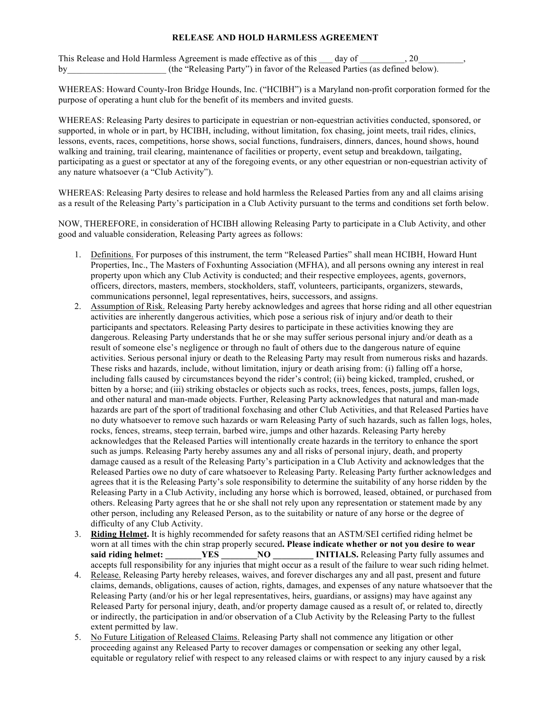## **RELEASE AND HOLD HARMLESS AGREEMENT**

This Release and Hold Harmless Agreement is made effective as of this day of  $\qquad \qquad , 20$ by the "Releasing Party") in favor of the Released Parties (as defined below).

WHEREAS: Howard County-Iron Bridge Hounds, Inc. ("HCIBH") is a Maryland non-profit corporation formed for the purpose of operating a hunt club for the benefit of its members and invited guests.

WHEREAS: Releasing Party desires to participate in equestrian or non-equestrian activities conducted, sponsored, or supported, in whole or in part, by HCIBH, including, without limitation, fox chasing, joint meets, trail rides, clinics, lessons, events, races, competitions, horse shows, social functions, fundraisers, dinners, dances, hound shows, hound walking and training, trail clearing, maintenance of facilities or property, event setup and breakdown, tailgating, participating as a guest or spectator at any of the foregoing events, or any other equestrian or non-equestrian activity of any nature whatsoever (a "Club Activity").

WHEREAS: Releasing Party desires to release and hold harmless the Released Parties from any and all claims arising as a result of the Releasing Party's participation in a Club Activity pursuant to the terms and conditions set forth below.

NOW, THEREFORE, in consideration of HCIBH allowing Releasing Party to participate in a Club Activity, and other good and valuable consideration, Releasing Party agrees as follows:

- 1. Definitions. For purposes of this instrument, the term "Released Parties" shall mean HCIBH, Howard Hunt Properties, Inc., The Masters of Foxhunting Association (MFHA), and all persons owning any interest in real property upon which any Club Activity is conducted; and their respective employees, agents, governors, officers, directors, masters, members, stockholders, staff, volunteers, participants, organizers, stewards, communications personnel, legal representatives, heirs, successors, and assigns.
- 2. Assumption of Risk. Releasing Party hereby acknowledges and agrees that horse riding and all other equestrian activities are inherently dangerous activities, which pose a serious risk of injury and/or death to their participants and spectators. Releasing Party desires to participate in these activities knowing they are dangerous. Releasing Party understands that he or she may suffer serious personal injury and/or death as a result of someone else's negligence or through no fault of others due to the dangerous nature of equine activities. Serious personal injury or death to the Releasing Party may result from numerous risks and hazards. These risks and hazards, include, without limitation, injury or death arising from: (i) falling off a horse, including falls caused by circumstances beyond the rider's control; (ii) being kicked, trampled, crushed, or bitten by a horse; and (iii) striking obstacles or objects such as rocks, trees, fences, posts, jumps, fallen logs, and other natural and man-made objects. Further, Releasing Party acknowledges that natural and man-made hazards are part of the sport of traditional foxchasing and other Club Activities, and that Released Parties have no duty whatsoever to remove such hazards or warn Releasing Party of such hazards, such as fallen logs, holes, rocks, fences, streams, steep terrain, barbed wire, jumps and other hazards. Releasing Party hereby acknowledges that the Released Parties will intentionally create hazards in the territory to enhance the sport such as jumps. Releasing Party hereby assumes any and all risks of personal injury, death, and property damage caused as a result of the Releasing Party's participation in a Club Activity and acknowledges that the Released Parties owe no duty of care whatsoever to Releasing Party. Releasing Party further acknowledges and agrees that it is the Releasing Party's sole responsibility to determine the suitability of any horse ridden by the Releasing Party in a Club Activity, including any horse which is borrowed, leased, obtained, or purchased from others. Releasing Party agrees that he or she shall not rely upon any representation or statement made by any other person, including any Released Person, as to the suitability or nature of any horse or the degree of difficulty of any Club Activity.
- 3. **Riding Helmet.** It is highly recommended for safety reasons that an ASTM/SEI certified riding helmet be worn at all times with the chin strap properly secured. **Please indicate whether or not you desire to wear said riding helmet:** YES NO INITIALS. Releasing Party fully assumes an **said riding helmet: \_\_\_\_\_\_\_\_YES \_\_\_\_\_\_\_\_NO \_\_\_\_\_\_\_\_\_ INITIALS.** Releasing Party fully assumes and accepts full responsibility for any injuries that might occur as a result of the failure to wear such riding helmet.
- 4. Release. Releasing Party hereby releases, waives, and forever discharges any and all past, present and future claims, demands, obligations, causes of action, rights, damages, and expenses of any nature whatsoever that the Releasing Party (and/or his or her legal representatives, heirs, guardians, or assigns) may have against any Released Party for personal injury, death, and/or property damage caused as a result of, or related to, directly or indirectly, the participation in and/or observation of a Club Activity by the Releasing Party to the fullest extent permitted by law.
- 5. No Future Litigation of Released Claims. Releasing Party shall not commence any litigation or other proceeding against any Released Party to recover damages or compensation or seeking any other legal, equitable or regulatory relief with respect to any released claims or with respect to any injury caused by a risk